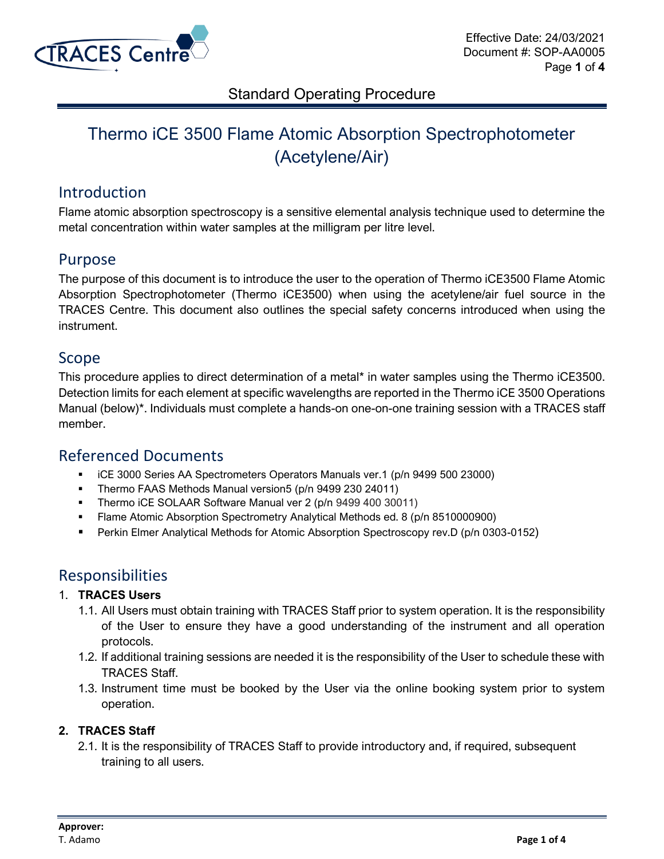

# Thermo iCE 3500 Flame Atomic Absorption Spectrophotometer (Acetylene/Air)

### Introduction

Flame atomic absorption spectroscopy is a sensitive elemental analysis technique used to determine the metal concentration within water samples at the milligram per litre level.

### Purpose

The purpose of this document is to introduce the user to the operation of Thermo iCE3500 Flame Atomic Absorption Spectrophotometer (Thermo iCE3500) when using the acetylene/air fuel source in the TRACES Centre. This document also outlines the special safety concerns introduced when using the instrument.

### Scope

This procedure applies to direct determination of a metal\* in water samples using the Thermo iCE3500. Detection limits for each element at specific wavelengths are reported in the Thermo iCE 3500 Operations Manual (below)\*. Individuals must complete a hands-on one-on-one training session with a TRACES staff member.

### Referenced Documents

- iCE 3000 Series AA Spectrometers Operators Manuals ver.1 (p/n 9499 500 23000)
- Thermo FAAS Methods Manual version5 (p/n 9499 230 24011)
- **E** Thermo iCE SOLAAR Software Manual ver 2 (p/n 9499 400 30011)
- **Example Atomic Absorption Spectrometry Analytical Methods ed. 8 (p/n 8510000900)**
- Perkin Elmer Analytical Methods for Atomic Absorption Spectroscopy rev.D (p/n 0303-0152)

### Responsibilities

#### 1. **TRACES Users**

- 1.1. All Users must obtain training with TRACES Staff prior to system operation. It is the responsibility of the User to ensure they have a good understanding of the instrument and all operation protocols.
- 1.2. If additional training sessions are needed it is the responsibility of the User to schedule these with TRACES Staff.
- 1.3. Instrument time must be booked by the User via the online booking system prior to system operation.

#### **2. TRACES Staff**

2.1. It is the responsibility of TRACES Staff to provide introductory and, if required, subsequent training to all users.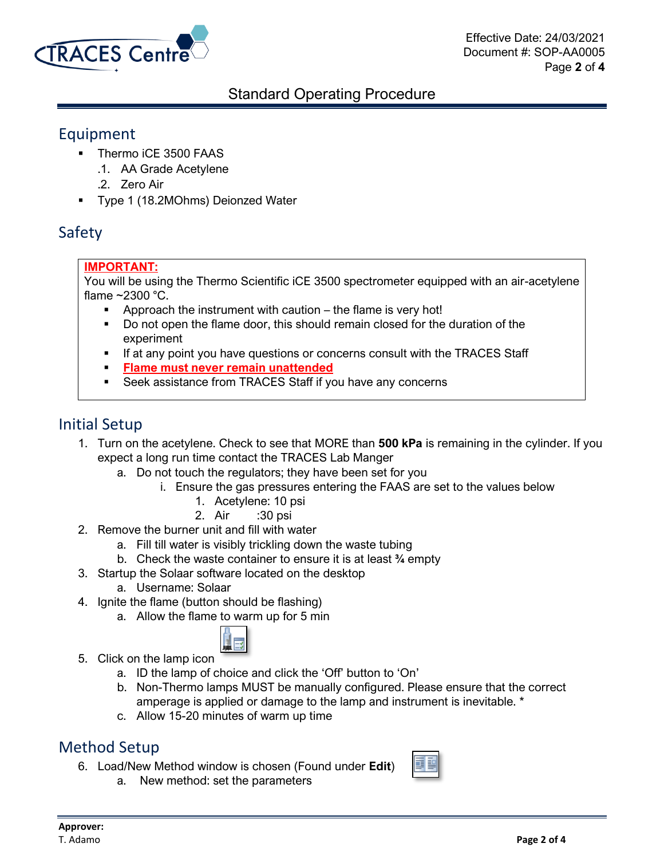

### Equipment

- **•** Thermo iCE 3500 FAAS
	- .1. AA Grade Acetylene
	- .2. Zero Air
- **Type 1 (18.2MOhms) Deionzed Water**

# Safety

### **IMPORTANT:**

You will be using the Thermo Scientific iCE 3500 spectrometer equipped with an air-acetylene flame  $\sim$ 2300 °C.

- Approach the instrument with caution  $-$  the flame is very hot!
- Do not open the flame door, this should remain closed for the duration of the experiment
- If at any point you have questions or concerns consult with the TRACES Staff
- **Flame must never remain unattended**
- Seek assistance from TRACES Staff if you have any concerns

## Initial Setup

- 1. Turn on the acetylene. Check to see that MORE than **500 kPa** is remaining in the cylinder. If you expect a long run time contact the TRACES Lab Manger
	- a. Do not touch the regulators; they have been set for you
		- i. Ensure the gas pressures entering the FAAS are set to the values below
			- 1. Acetylene: 10 psi
			- 2. Air :30 psi
- 2. Remove the burner unit and fill with water
	- a. Fill till water is visibly trickling down the waste tubing
	- b. Check the waste container to ensure it is at least **¾** empty
- 3. Startup the Solaar software located on the desktop
	- a. Username: Solaar
- 4. Ignite the flame (button should be flashing)
	- a. Allow the flame to warm up for 5 min



- 5. Click on the lamp icon
	- a. ID the lamp of choice and click the 'Off' button to 'On'
	- b. Non-Thermo lamps MUST be manually configured. Please ensure that the correct amperage is applied or damage to the lamp and instrument is inevitable. \*
	- c. Allow 15-20 minutes of warm up time

## Method Setup

- 6. Load/New Method window is chosen (Found under **Edit**)
	- a. New method: set the parameters

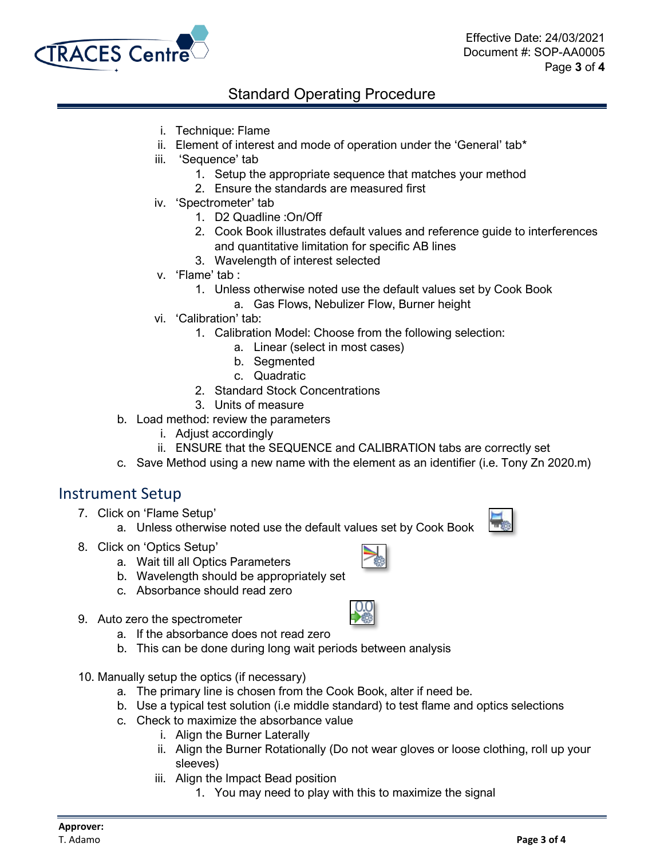

- i. Technique: Flame
- ii. Element of interest and mode of operation under the 'General' tab\*
- iii. 'Sequence' tab
	- 1. Setup the appropriate sequence that matches your method
	- 2. Ensure the standards are measured first
- iv. 'Spectrometer' tab
	- 1. D2 Quadline :On/Off
	- 2. Cook Book illustrates default values and reference guide to interferences and quantitative limitation for specific AB lines
	- 3. Wavelength of interest selected
- v. 'Flame' tab :
	- 1. Unless otherwise noted use the default values set by Cook Book
		- a. Gas Flows, Nebulizer Flow, Burner height
- vi. 'Calibration' tab:
	- 1. Calibration Model: Choose from the following selection:
		- a. Linear (select in most cases)
		- b. Segmented
		- c. Quadratic
	- 2. Standard Stock Concentrations
	- 3. Units of measure
- b. Load method: review the parameters
	- i. Adjust accordingly
	- ii. ENSURE that the SEQUENCE and CALIBRATION tabs are correctly set
- c. Save Method using a new name with the element as an identifier (i.e. Tony Zn 2020.m)

### Instrument Setup

- 7. Click on 'Flame Setup'
	- a. Unless otherwise noted use the default values set by Cook Book
- 8. Click on 'Optics Setup'
	- a. Wait till all Optics Parameters
	- b. Wavelength should be appropriately set
	- c. Absorbance should read zero
- 9. Auto zero the spectrometer
	- a. If the absorbance does not read zero
	- b. This can be done during long wait periods between analysis
- 10. Manually setup the optics (if necessary)
	- a. The primary line is chosen from the Cook Book, alter if need be.
	- b. Use a typical test solution (i.e middle standard) to test flame and optics selections
	- c. Check to maximize the absorbance value
		- i. Align the Burner Laterally
		- ii. Align the Burner Rotationally (Do not wear gloves or loose clothing, roll up your sleeves)
		- iii. Align the Impact Bead position
			- 1. You may need to play with this to maximize the signal